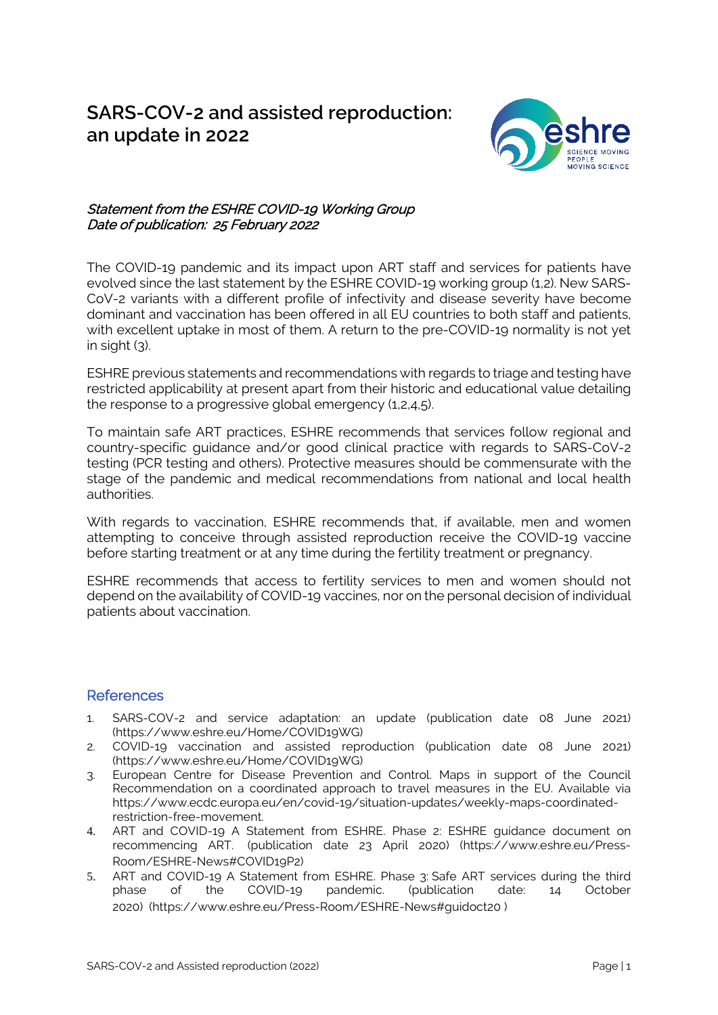## **SARS-COV-2 and assisted reproduction: an update in 2022**



## Statement from the ESHRE COVID-19 Working Group Date of publication: 25 February 2022

The COVID-19 pandemic and its impact upon ART staff and services for patients have evolved since the last statement by the ESHRE COVID-19 working group (1,2). New SARS-CoV-2 variants with a different profile of infectivity and disease severity have become dominant and vaccination has been offered in all EU countries to both staff and patients, with excellent uptake in most of them. A return to the pre-COVID-19 normality is not yet in sight (3).

ESHRE previous statements and recommendations with regards to triage and testing have restricted applicability at present apart from their historic and educational value detailing the response to a progressive global emergency (1,2,4,5).

To maintain safe ART practices, ESHRE recommends that services follow regional and country-specific guidance and/or good clinical practice with regards to SARS-CoV-2 testing (PCR testing and others). Protective measures should be commensurate with the stage of the pandemic and medical recommendations from national and local health authorities.

With regards to vaccination, ESHRE recommends that, if available, men and women attempting to conceive through assisted reproduction receive the COVID-19 vaccine before starting treatment or at any time during the fertility treatment or pregnancy.

ESHRE recommends that access to fertility services to men and women should not depend on the availability of COVID-19 vaccines, nor on the personal decision of individual patients about vaccination.

## **References**

- 1. SARS-COV-2 and service adaptation: an update (publication date 08 June 2021) (https://www.eshre.eu/Home/COVID19WG)
- 2. COVID-19 vaccination and assisted reproduction (publication date 08 June 2021) (https://www.eshre.eu/Home/COVID19WG)
- 3. European Centre for Disease Prevention and Control. Maps in support of the Council Recommendation on a coordinated approach to travel measures in the EU. Available via [https://www.ecdc.europa.eu/en/covid-19/situation-updates/weekly-maps-coordinated](https://www.ecdc.europa.eu/en/covid-19/situation-updates/weekly-maps-coordinated-restriction-free-movement)[restriction-free-movement.](https://www.ecdc.europa.eu/en/covid-19/situation-updates/weekly-maps-coordinated-restriction-free-movement)
- 4. ART and COVID-19 A Statement from ESHRE. Phase 2: ESHRE guidance document on recommencing ART. (publication date 23 April 2020) [\(https://www.eshre.eu/Press-](https://www.eshre.eu/Press-Room/ESHRE-News#COVID19P2)[Room/ESHRE-News#COVID19P2\)](https://www.eshre.eu/Press-Room/ESHRE-News#COVID19P2)
- 5. ART and COVID-19 A Statement from ESHRE. Phase 3: Safe ART services during the third phase of the COVID-19 pandemic. (publication date: 14 October 2020) [\(https://www.eshre.eu/Press-Room/ESHRE-News#guidoct20](https://eur02.safelinks.protection.outlook.com/?url=https%3A%2F%2Fwww.eshre.eu%2FPress-Room%2FESHRE-News%23guidoct20&data=04%7C01%7CNathalie%40eshre.eu%7Cb3cf12ae29b6472c1d0008d89226e4d7%7C1f2ff8fcaa2e45c9b4e5a1e03b261eca%7C0%7C0%7C637420043037224677%7CUnknown%7CTWFpbGZsb3d8eyJWIjoiMC4wLjAwMDAiLCJQIjoiV2luMzIiLCJBTiI6Ik1haWwiLCJXVCI6Mn0%3D%7C1000&sdata=lmbZbEd7GPIBL947xm6a0mHpvCGv9gBgk0em6qqgVEw%3D&reserved=0) )